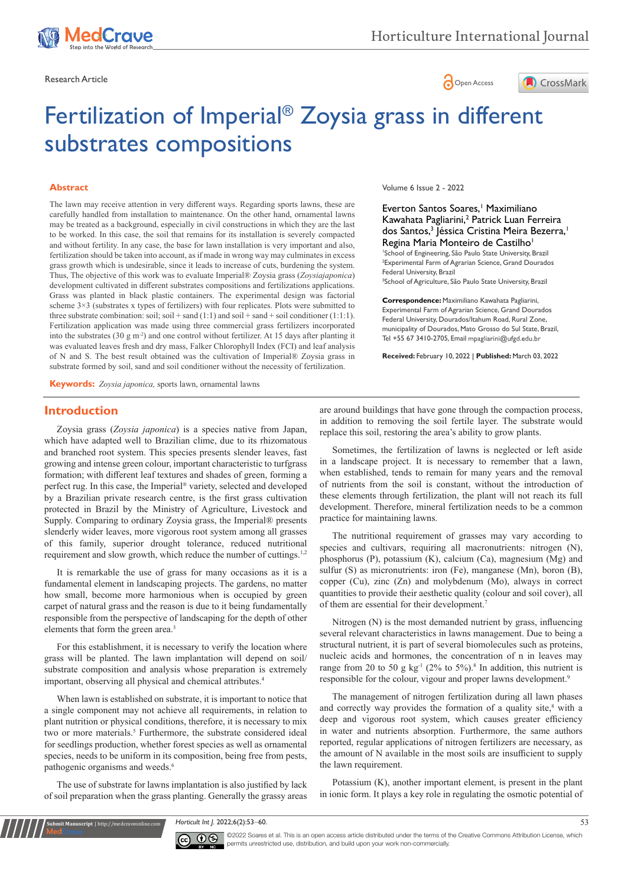





# Fertilization of Imperial® Zoysia grass in different substrates compositions

#### **Abstract**

The lawn may receive attention in very different ways. Regarding sports lawns, these are carefully handled from installation to maintenance. On the other hand, ornamental lawns may be treated as a background, especially in civil constructions in which they are the last to be worked. In this case, the soil that remains for its installation is severely compacted and without fertility. In any case, the base for lawn installation is very important and also, fertilization should be taken into account, as if made in wrong way may culminates in excess grass growth which is undesirable, since it leads to increase of cuts, burdening the system. Thus, The objective of this work was to evaluate Imperial® Zoysia grass (*Zoysiajaponica*) development cultivated in different substrates compositions and fertilizations applications. Grass was planted in black plastic containers. The experimental design was factorial scheme  $3\times3$  (substrates x types of fertilizers) with four replicates. Plots were submitted to three substrate combination: soil; soil + sand  $(1:1)$  and soil + sand + soil conditioner  $(1:1:1)$ . Fertilization application was made using three commercial grass fertilizers incorporated into the substrates (30 g m<sup>-2</sup>) and one control without fertilizer. At 15 days after planting it was evaluated leaves fresh and dry mass, Falker Chlorophyll Index (FCI) and leaf analysis of N and S. The best result obtained was the cultivation of Imperial® Zoysia grass in substrate formed by soil, sand and soil conditioner without the necessity of fertilization.

**Keywords:** *Zoysia japonica,* sports lawn, ornamental lawns

### **Introduction**

Zoysia grass (*Zoysia japonica*) is a species native from Japan, which have adapted well to Brazilian clime, due to its rhizomatous and branched root system. This species presents slender leaves, fast growing and intense green colour, important characteristic to turfgrass formation; with different leaf textures and shades of green, forming a perfect rug. In this case, the Imperial® variety, selected and developed by a Brazilian private research centre, is the first grass cultivation protected in Brazil by the Ministry of Agriculture, Livestock and Supply. Comparing to ordinary Zoysia grass, the Imperial® presents slenderly wider leaves, more vigorous root system among all grasses of this family, superior drought tolerance, reduced nutritional requirement and slow growth, which reduce the number of cuttings.<sup>1,2</sup>

It is remarkable the use of grass for many occasions as it is a fundamental element in landscaping projects. The gardens, no matter how small, become more harmonious when is occupied by green carpet of natural grass and the reason is due to it being fundamentally responsible from the perspective of landscaping for the depth of other elements that form the green area.<sup>3</sup>

For this establishment, it is necessary to verify the location where grass will be planted. The lawn implantation will depend on soil/ substrate composition and analysis whose preparation is extremely important, observing all physical and chemical attributes.4

When lawn is established on substrate, it is important to notice that a single component may not achieve all requirements, in relation to plant nutrition or physical conditions, therefore, it is necessary to mix two or more materials.<sup>5</sup> Furthermore, the substrate considered ideal for seedlings production, whether forest species as well as ornamental species, needs to be uniform in its composition, being free from pests, pathogenic organisms and weeds.6

The use of substrate for lawns implantation is also justified by lack of soil preparation when the grass planting. Generally the grassy areas

**it Manuscript** | http://medcraveonline.c

Volume 6 Issue 2 - 2022

Everton Santos Soares,<sup>1</sup> Maximiliano Kawahata Pagliarini,2 Patrick Luan Ferreira dos Santos,<sup>3</sup> Jéssica Cristina Meira Bezerra,<sup>1</sup> Regina Maria Monteiro de Castilho<sup>1</sup>

1 School of Engineering, São Paulo State University, Brazil 2 Experimental Farm of Agrarian Science, Grand Dourados Federal University, Brazil

<sup>3</sup>School of Agriculture, São Paulo State University, Brazil

**Correspondence:** Maximiliano Kawahata Pagliarini, Experimental Farm of Agrarian Science, Grand Dourados Federal University, Dourados/Itahum Road, Rural Zone, municipality of Dourados, Mato Grosso do Sul State, Brazil, Tel +55 67 3410-2705, Email mpagliarini@ufgd.edu.br

**Received:** February 10, 2022 | **Published:** March 03, 2022

are around buildings that have gone through the compaction process, in addition to removing the soil fertile layer. The substrate would replace this soil, restoring the area's ability to grow plants.

Sometimes, the fertilization of lawns is neglected or left aside in a landscape project. It is necessary to remember that a lawn, when established, tends to remain for many years and the removal of nutrients from the soil is constant, without the introduction of these elements through fertilization, the plant will not reach its full development. Therefore, mineral fertilization needs to be a common practice for maintaining lawns.

The nutritional requirement of grasses may vary according to species and cultivars, requiring all macronutrients: nitrogen (N), phosphorus (P), potassium (K), calcium (Ca), magnesium (Mg) and sulfur (S) as micronutrients: iron (Fe), manganese (Mn), boron (B), copper (Cu), zinc (Zn) and molybdenum (Mo), always in correct quantities to provide their aesthetic quality (colour and soil cover), all of them are essential for their development.7

Nitrogen (N) is the most demanded nutrient by grass, influencing several relevant characteristics in lawns management. Due to being a structural nutrient, it is part of several biomolecules such as proteins, nucleic acids and hormones, the concentration of n in leaves may range from 20 to 50 g  $kg<sup>-1</sup>$  (2% to 5%).<sup>8</sup> In addition, this nutrient is responsible for the colour, vigour and proper lawns development.<sup>9</sup>

The management of nitrogen fertilization during all lawn phases and correctly way provides the formation of a quality site,<sup>8</sup> with a deep and vigorous root system, which causes greater efficiency in water and nutrients absorption. Furthermore, the same authors reported, regular applications of nitrogen fertilizers are necessary, as the amount of N available in the most soils are insufficient to supply the lawn requirement.

Potassium (K), another important element, is present in the plant in ionic form. It plays a key role in regulating the osmotic potential of

*Horticult Int J.* 2022;6(2):53‒60. 53



©2022 Soares et al. This is an open access article distributed under the terms of the [Creative Commons Attribution License,](https://creativecommons.org/licenses/by-nc/4.0/) which permits unrestricted use, distribution, and build upon your work non-commercially.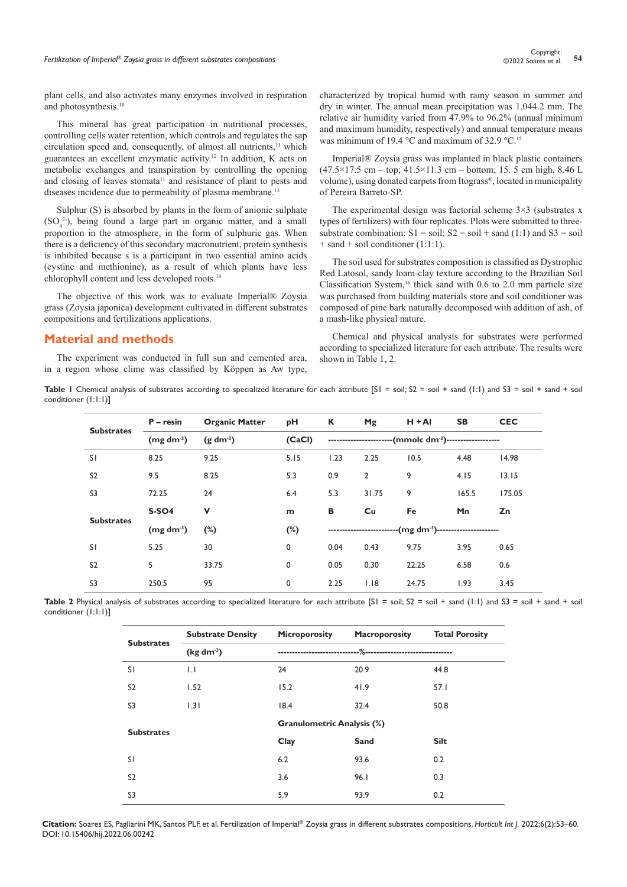plant cells, and also activates many enzymes involved in respiration and photosynthesis.<sup>10</sup>

This mineral has great participation in nutritional processes, controlling cells water retention, which controls and regulates the sap circulation speed and, consequently, of almost all nutrients,<sup>11</sup> which guarantees an excellent enzymatic activity.12 In addition, K acts on metabolic exchanges and transpiration by controlling the opening and closing of leaves stomata<sup>11</sup> and resistance of plant to pests and diseases incidence due to permeability of plasma membrane.<sup>13</sup>

Sulphur (S) is absorbed by plants in the form of anionic sulphate  $(SO<sub>4</sub><sup>2</sup>)$ , being found a large part in organic matter, and a small proportion in the atmosphere, in the form of sulphuric gas. When there is a deficiency of this secondary macronutrient, protein synthesis is inhibited because s is a participant in two essential amino acids (cystine and methionine), as a result of which plants have less chlorophyll content and less developed roots.14

The objective of this work was to evaluate Imperial® Zoysia grass (Zoysia japonica) development cultivated in different substrates compositions and fertilizations applications.

### **Material and methods**

The experiment was conducted in full sun and cemented area, in a region whose clime was classified by Köppen as Aw type,

characterized by tropical humid with rainy season in summer and dry in winter. The annual mean precipitation was 1,044.2 mm. The relative air humidity varied from 47.9% to 96.2% (annual minimum and maximum humidity, respectively) and annual temperature means was minimum of 19.4 °C and maximum of 32.9 °C.<sup>15</sup>

Imperial® Zoysia grass was implanted in black plastic containers  $(47.5 \times 17.5 \text{ cm} - \text{top}; 41.5 \times 11.3 \text{ cm} - \text{bottom}; 15.5 \text{ cm high}, 8.46 \text{ L}$ volume), using donated carpets from Itograss®, located in municipality of Pereira Barreto-SP.

The experimental design was factorial scheme  $3\times3$  (substrates x types of fertilizers) with four replicates. Plots were submitted to threesubstrate combination:  $S1 = soil$ ;  $S2 = soil + sand(1:1)$  and  $S3 = soil$  $+$  sand  $+$  soil conditioner (1:1:1).

The soil used for substrates composition is classified as Dystrophic Red Latosol, sandy loam-clay texture according to the Brazilian Soil Classification System,<sup>16</sup> thick sand with  $0.6$  to  $2.0$  mm particle size was purchased from building materials store and soil conditioner was composed of pine bark naturally decomposed with addition of ash, of a mash-like physical nature.

Chemical and physical analysis for substrates were performed according to specialized literature for each attribute. The results were shown in Table 1, 2.

Table I Chemical analysis of substrates according to specialized literature for each attribute [SI = soil; S2 = soil + sand (I:I) and S3 = soil + sand + soil conditioner (1:1:1)]

|                   | $P -$ resin           | <b>Organic Matter</b>          | рH          | К                                                                      | Mg    | $H + AI$                                                             | <b>SB</b> | <b>CEC</b> |  |
|-------------------|-----------------------|--------------------------------|-------------|------------------------------------------------------------------------|-------|----------------------------------------------------------------------|-----------|------------|--|
| <b>Substrates</b> | (mg dm <sup>3</sup> ) | (CaCl)<br>(g dm <sup>3</sup> ) |             |                                                                        |       | ------------------------(mmolc dm <sup>-3</sup> )------------------- |           |            |  |
| SI.               | 8.25                  | 9.25                           | 5.15        | 1.23                                                                   | 2.25  | 10.5                                                                 | 4.48      | 14.98      |  |
| S <sub>2</sub>    | 9.5                   | 8.25                           | 5.3         | 0.9                                                                    | 2     | 9                                                                    | 4.15      | 13.15      |  |
| S <sub>3</sub>    | 72.25                 | 24                             | 6.4         | 5.3                                                                    | 31.75 | 9                                                                    | 165.5     | 175.05     |  |
| <b>Substrates</b> | <b>S-SO4</b>          | v                              | m           | В                                                                      | Cu    | Fe                                                                   | Mn        | Zn         |  |
|                   | (mg dm <sup>3</sup> ) | $(\%)$                         | $(\%)$      | --------------------------(mg dm <sup>-3</sup> )---------------------- |       |                                                                      |           |            |  |
| <sup>SI</sup>     | 5.25                  | 30                             | $\mathbf 0$ | 0.04                                                                   | 0.43  | 9.75                                                                 | 3.95      | 0.65       |  |
| S <sub>2</sub>    | 5                     | 33.75                          | 0           | 0.05                                                                   | 0,30  | 22.25                                                                | 6.58      | 0.6        |  |
| S3                | 250.5                 | 95                             | 0           | 2.25                                                                   | 1.18  | 24.75                                                                | 1.93      | 3.45       |  |

Table 2 Physical analysis of substrates according to specialized literature for each attribute [S1 = soil; S2 = soil + sand (1:1) and S3 = soil + sand + soil conditioner (1:1:1)]

| <b>Substrates</b> | <b>Substrate Density</b> | <b>Microporosity</b>              | Macroporosity                       | <b>Total Porosity</b> |  |
|-------------------|--------------------------|-----------------------------------|-------------------------------------|-----------------------|--|
|                   | $(kg dm-3)$              | -------------------------         | ---%------------------------------- |                       |  |
| SΙ                | $\mathsf{L}$             | 24                                | 20.9                                | 44.8                  |  |
| S <sub>2</sub>    | 1.52                     | 15.2                              | 41.9                                | 57.1                  |  |
| S3                | 1.31                     | 18.4                              | 32.4                                | 50.8                  |  |
| <b>Substrates</b> |                          | <b>Granulometric Analysis (%)</b> |                                     |                       |  |
|                   |                          | Clay                              | Sand                                | <b>Silt</b>           |  |
| SI.               |                          | 6.2                               | 93.6                                | 0.2                   |  |
| S <sub>2</sub>    |                          | 3.6                               | 96.1                                | 0.3                   |  |
| S3                |                          | 5.9                               | 93.9                                | 0.2                   |  |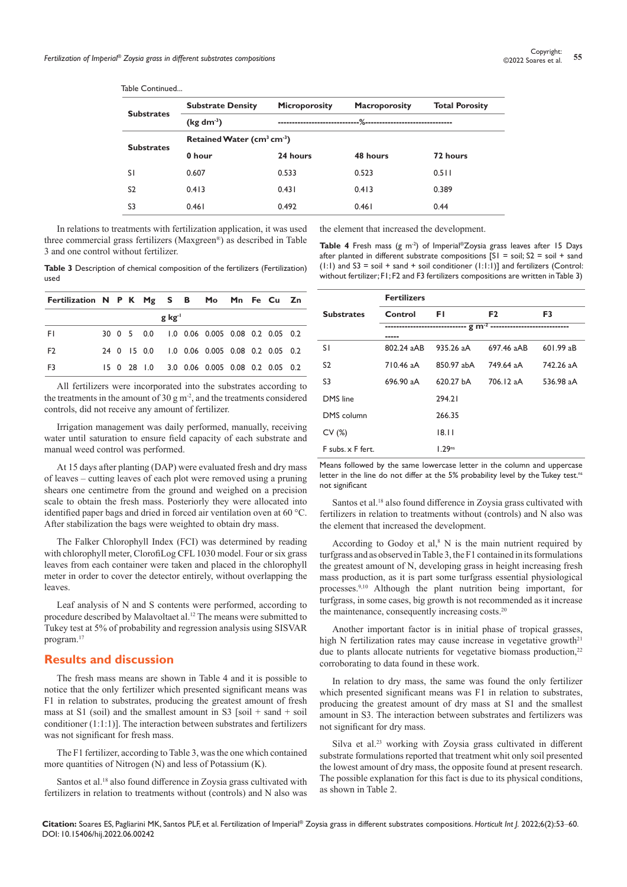Table Continued...

|                   | <b>Substrate Density</b>      | <b>Microporosity</b> | <b>Macroporosity</b> | <b>Total Porosity</b> |  |  |
|-------------------|-------------------------------|----------------------|----------------------|-----------------------|--|--|
| <b>Substrates</b> | $(\text{kg dm}^3)$            |                      |                      |                       |  |  |
| <b>Substrates</b> | Retained Water ( $cm3 cm-3$ ) |                      |                      |                       |  |  |
|                   | 0 hour                        | 24 hours             | 48 hours             | 72 hours              |  |  |
| <sup>SI</sup>     | 0.607                         | 0.533                | 0.523                | $0.5$                 |  |  |
| S <sub>2</sub>    | 0.413                         | 0.431                | 0.413                | 0.389                 |  |  |
| S3                | 0.461                         | 0.492                | 0.461                | 0.44                  |  |  |

In relations to treatments with fertilization application, it was used three commercial grass fertilizers (Maxgreen®) as described in Table 3 and one control without fertilizer.

**Table 3** Description of chemical composition of the fertilizers (Fertilization) used

| Fertilization N P K Mg S B Mo Mn Fe Cu Zn |  |  |                    |                                              |  |  |
|-------------------------------------------|--|--|--------------------|----------------------------------------------|--|--|
|                                           |  |  | g kg <sup>-1</sup> |                                              |  |  |
| -FI                                       |  |  |                    | 30 0 5 0.0 1.0 0.06 0.005 0.08 0.2 0.05 0.2  |  |  |
| F <sub>2</sub>                            |  |  |                    | 24 0 15 0.0 1.0 0.06 0.005 0.08 0.2 0.05 0.2 |  |  |
| F3                                        |  |  |                    | 15 0 28 1.0 3.0 0.06 0.005 0.08 0.2 0.05 0.2 |  |  |

All fertilizers were incorporated into the substrates according to the treatments in the amount of 30 g  $m<sup>2</sup>$ , and the treatments considered controls, did not receive any amount of fertilizer.

Irrigation management was daily performed, manually, receiving water until saturation to ensure field capacity of each substrate and manual weed control was performed.

At 15 days after planting (DAP) were evaluated fresh and dry mass of leaves – cutting leaves of each plot were removed using a pruning shears one centimetre from the ground and weighed on a precision scale to obtain the fresh mass. Posteriorly they were allocated into identified paper bags and dried in forced air ventilation oven at 60 °C. After stabilization the bags were weighted to obtain dry mass.

The Falker Chlorophyll Index (FCI) was determined by reading with chlorophyll meter, ClorofiLog CFL 1030 model. Four or six grass leaves from each container were taken and placed in the chlorophyll meter in order to cover the detector entirely, without overlapping the leaves.

Leaf analysis of N and S contents were performed, according to procedure described by Malavoltaet al.12 The means were submitted to Tukey test at 5% of probability and regression analysis using SISVAR program.17

### **Results and discussion**

The fresh mass means are shown in Table 4 and it is possible to notice that the only fertilizer which presented significant means was F1 in relation to substrates, producing the greatest amount of fresh mass at S1 (soil) and the smallest amount in S3 [soil + sand + soil conditioner (1:1:1)]. The interaction between substrates and fertilizers was not significant for fresh mass.

The F1 fertilizer, according to Table 3, was the one which contained more quantities of Nitrogen (N) and less of Potassium (K).

Santos et al.<sup>18</sup> also found difference in Zoysia grass cultivated with fertilizers in relation to treatments without (controls) and N also was the element that increased the development.

Table 4 Fresh mass (g m<sup>-2</sup>) of Imperial®Zoysia grass leaves after 15 Days after planted in different substrate compositions  $[S1 = \text{soil}, S2 = \text{soil} + \text{sand}$  $(1:1)$  and S3 = soil + sand + soil conditioner  $(1:1:1)$ ] and fertilizers (Control: without fertilizer; F1; F2 and F3 fertilizers compositions are written in Table 3)

|                   | <b>Fertilizers</b> |                                                              |                |             |  |  |
|-------------------|--------------------|--------------------------------------------------------------|----------------|-------------|--|--|
| <b>Substrates</b> | Control            | FΙ                                                           | F <sub>2</sub> | F3          |  |  |
|                   | -----              | ----------------------------- g m <sup>-2</sup> ------------ |                |             |  |  |
| SI.               | 802.24 aAB         | 935.26 aA                                                    | 697.46 aAB     | $601.99a$ B |  |  |
| S <sub>2</sub>    | 710.46 aA          | 850.97 abA                                                   | 749.64 aA      | 742.26 aA   |  |  |
| S3                | 696.90 aA          | 620.27 bA                                                    | 706.12 aA      | 536.98 aA   |  |  |
| DMS line          |                    | 294.21                                                       |                |             |  |  |
| DMS column        |                    | 266.35                                                       |                |             |  |  |
| CV(%)             |                    | 18.11                                                        |                |             |  |  |
| F subs. x F fert. |                    | 1.29 <sub>ns</sub>                                           |                |             |  |  |

Means followed by the same lowercase letter in the column and uppercase letter in the line do not differ at the 5% probability level by the Tukey test.<sup>ns</sup> not significant

Santos et al.<sup>18</sup> also found difference in Zoysia grass cultivated with fertilizers in relation to treatments without (controls) and N also was the element that increased the development.

According to Godoy et al, $8$  N is the main nutrient required by turfgrass and as observed in Table 3, the F1 contained in its formulations the greatest amount of N, developing grass in height increasing fresh mass production, as it is part some turfgrass essential physiological processes.9,10 Although the plant nutrition being important, for turfgrass, in some cases, big growth is not recommended as it increase the maintenance, consequently increasing costs.<sup>20</sup>

Another important factor is in initial phase of tropical grasses, high N fertilization rates may cause increase in vegetative growth $21$ due to plants allocate nutrients for vegetative biomass production,<sup>22</sup> corroborating to data found in these work.

In relation to dry mass, the same was found the only fertilizer which presented significant means was F1 in relation to substrates, producing the greatest amount of dry mass at S1 and the smallest amount in S3. The interaction between substrates and fertilizers was not significant for dry mass.

Silva et al.<sup>23</sup> working with Zoysia grass cultivated in different substrate formulations reported that treatment whit only soil presented the lowest amount of dry mass, the opposite found at present research. The possible explanation for this fact is due to its physical conditions, as shown in Table 2.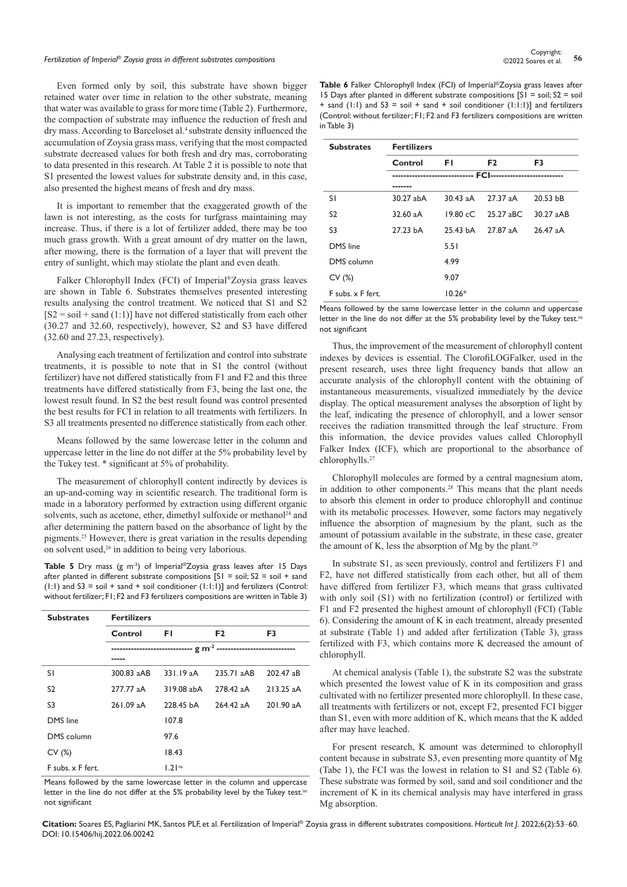# *Fertilization of Imperial® Zoysia grass in different substrates compositions* **<sup>56</sup>** Copyright:

Even formed only by soil, this substrate have shown bigger retained water over time in relation to the other substrate, meaning that water was available to grass for more time (Table 2). Furthermore, the compaction of substrate may influence the reduction of fresh and dry mass. According to Barceloset al.<sup>4</sup> substrate density influenced the accumulation of Zoysia grass mass, verifying that the most compacted substrate decreased values for both fresh and dry mas, corroborating to data presented in this research. At Table 2 it is possible to note that S1 presented the lowest values for substrate density and, in this case, also presented the highest means of fresh and dry mass.

It is important to remember that the exaggerated growth of the lawn is not interesting, as the costs for turfgrass maintaining may increase. Thus, if there is a lot of fertilizer added, there may be too much grass growth. With a great amount of dry matter on the lawn, after mowing, there is the formation of a layer that will prevent the entry of sunlight, which may stiolate the plant and even death.

Falker Chlorophyll Index (FCI) of Imperial®Zoysia grass leaves are shown in Table 6. Substrates themselves presented interesting results analysing the control treatment. We noticed that S1 and S2  $[S2 = soil + sand(1:1)]$  have not differed statistically from each other (30.27 and 32.60, respectively), however, S2 and S3 have differed (32.60 and 27.23, respectively).

Analysing each treatment of fertilization and control into substrate treatments, it is possible to note that in S1 the control (without fertilizer) have not differed statistically from F1 and F2 and this three treatments have differed statistically from F3, being the last one, the lowest result found. In S2 the best result found was control presented the best results for FCI in relation to all treatments with fertilizers. In S3 all treatments presented no difference statistically from each other.

Means followed by the same lowercase letter in the column and uppercase letter in the line do not differ at the 5% probability level by the Tukey test. \* significant at 5% of probability.

The measurement of chlorophyll content indirectly by devices is an up-and-coming way in scientific research. The traditional form is made in a laboratory performed by extraction using different organic solvents, such as acetone, ether, dimethyl sulfoxide or methanol<sup>24</sup> and after determining the pattern based on the absorbance of light by the pigments.25 However, there is great variation in the results depending on solvent used,<sup>26</sup> in addition to being very laborious.

Table 5 Dry mass (g m<sup>-2</sup>) of Imperial®Zoysia grass leaves after 15 Days after planted in different substrate compositions  $[SI = soil; S2 = soil + sand$ (1:1) and  $S3 = \text{soil} + \text{sand} + \text{soil}$  conditioner (1:1:1)] and fertilizers (Control: without fertilizer; F1; F2 and F3 fertilizers compositions are written in Table 3)

| <b>Substrates</b> | <b>Fertilizers</b> |            |                |                |  |  |
|-------------------|--------------------|------------|----------------|----------------|--|--|
|                   | Control            | FI.        | F <sub>2</sub> | F <sub>3</sub> |  |  |
|                   |                    |            |                |                |  |  |
|                   |                    |            |                |                |  |  |
| SI.               | 300.83 aAB         | 331.19aA   | 235.71 aAB     | 202.47 aB      |  |  |
| S <sub>2</sub>    | 277.77 aA          | 319.08 abA | 278.42 aA      | $213.25$ aA    |  |  |
| S3                | 261.09 aA          | 228.45 bA  | 264.42 aA      | 201.90 aA      |  |  |
| DMS line          |                    | 107.8      |                |                |  |  |
| DMS column        |                    | 97.6       |                |                |  |  |
| CV(%)             |                    | 18.43      |                |                |  |  |
| F subs. x F fert. |                    | $1.2$ lns  |                |                |  |  |

Means followed by the same lowercase letter in the column and uppercase letter in the line do not differ at the 5% probability level by the Tukey test.<sup>nt</sup> not significant

**Table 6** Falker Chlorophyll Index (FCI) of Imperial®Zoysia grass leaves after 15 Days after planted in different substrate compositions  $[SI = soil; S2 = soil]$ + sand (1:1) and  $S3 = \text{soil} + \text{sand} + \text{soil}$  conditioner (1:1:1)] and fertilizers (Control: without fertilizer; F1; F2 and F3 fertilizers compositions are written in Table 3)

| <b>Substrates</b> | <b>Fertilizers</b> |            |                |            |  |  |
|-------------------|--------------------|------------|----------------|------------|--|--|
|                   | Control            | FI.        | F <sub>2</sub> | F3         |  |  |
|                   |                    |            |                |            |  |  |
| S I               | 30.27 abA          | $30.43$ aA | 27.37 aA       | 20.53 bB   |  |  |
| S <sub>2</sub>    | 32.60 aA           | 19.80 cC   | 25.27 aBC      | 30.27 aAB  |  |  |
| S <sub>3</sub>    | 27.23 bA           | 25.43 bA   | 27.87 aA       | $26.47$ aA |  |  |
| DMS line          |                    | 5.51       |                |            |  |  |
| DMS column        |                    | 4.99       |                |            |  |  |
| CV(%)             |                    | 9.07       |                |            |  |  |
| F subs. x F fert. |                    | $10.26*$   |                |            |  |  |

Means followed by the same lowercase letter in the column and uppercase letter in the line do not differ at the 5% probability level by the Tukey test.<sup>ns</sup> not significant

Thus, the improvement of the measurement of chlorophyll content indexes by devices is essential. The ClorofiLOGFalker, used in the present research, uses three light frequency bands that allow an accurate analysis of the chlorophyll content with the obtaining of instantaneous measurements, visualized immediately by the device display. The optical measurement analyses the absorption of light by the leaf, indicating the presence of chlorophyll, and a lower sensor receives the radiation transmitted through the leaf structure. From this information, the device provides values called Chlorophyll Falker Index (ICF), which are proportional to the absorbance of chlorophylls.27

Chlorophyll molecules are formed by a central magnesium atom, in addition to other components.<sup>28</sup> This means that the plant needs to absorb this element in order to produce chlorophyll and continue with its metabolic processes. However, some factors may negatively influence the absorption of magnesium by the plant, such as the amount of potassium available in the substrate, in these case, greater the amount of K, less the absorption of Mg by the plant.<sup>29</sup>

In substrate S1, as seen previously, control and fertilizers F1 and F2, have not differed statistically from each other, but all of them have differed from fertilizer F3, which means that grass cultivated with only soil (S1) with no fertilization (control) or fertilized with F1 and F2 presented the highest amount of chlorophyll (FCI) (Table 6). Considering the amount of K in each treatment, already presented at substrate (Table 1) and added after fertilization (Table 3), grass fertilized with F3, which contains more K decreased the amount of chlorophyll.

At chemical analysis (Table 1), the substrate S2 was the substrate which presented the lowest value of K in its composition and grass cultivated with no fertilizer presented more chlorophyll. In these case, all treatments with fertilizers or not, except F2, presented FCI bigger than S1, even with more addition of K, which means that the K added after may have leached.

For present research, K amount was determined to chlorophyll content because in substrate S3, even presenting more quantity of Mg (Tabe 1), the FCI was the lowest in relation to S1 and S2 (Table 6). These substrate was formed by soil, sand and soil conditioner and the increment of K in its chemical analysis may have interfered in grass Mg absorption.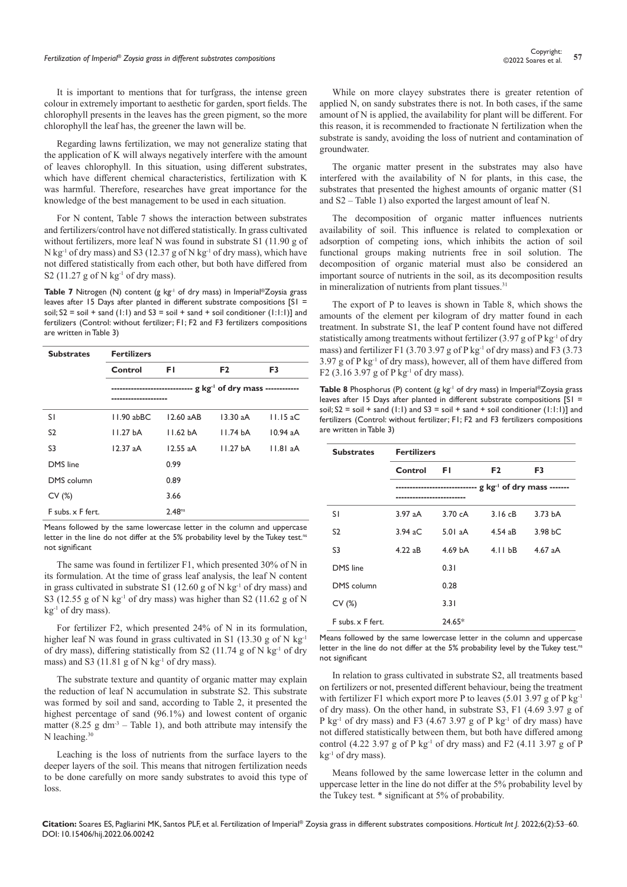It is important to mentions that for turfgrass, the intense green colour in extremely important to aesthetic for garden, sport fields. The chlorophyll presents in the leaves has the green pigment, so the more chlorophyll the leaf has, the greener the lawn will be.

Regarding lawns fertilization, we may not generalize stating that the application of K will always negatively interfere with the amount of leaves chlorophyll. In this situation, using different substrates, which have different chemical characteristics, fertilization with K was harmful. Therefore, researches have great importance for the knowledge of the best management to be used in each situation.

For N content, Table 7 shows the interaction between substrates and fertilizers/control have not differed statistically. In grass cultivated without fertilizers, more leaf N was found in substrate S1 (11.90 g of  $N$  kg<sup>-1</sup> of dry mass) and S3 (12.37 g of N kg<sup>-1</sup> of dry mass), which have not differed statistically from each other, but both have differed from S2 (11.27 g of N kg $^{-1}$  of dry mass).

Table 7 Nitrogen (N) content (g kg<sup>-1</sup> of dry mass) in Imperial®Zoysia grass leaves after 15 Days after planted in different substrate compositions [S1 = soil;  $S2 = \text{soil} + \text{sand}$  (1:1) and  $S3 = \text{soil} + \text{sand} + \text{soil}$  conditioner (1:1:1)] and fertilizers (Control: without fertilizer; F1; F2 and F3 fertilizers compositions are written in Table 3)

| <b>Substrates</b> | <b>Fertilizers</b> |                                                                            |                      |                    |
|-------------------|--------------------|----------------------------------------------------------------------------|----------------------|--------------------|
|                   | Control            | FI.                                                                        | F <sub>2</sub>       | F3                 |
|                   |                    | ------------------------------ g kg <sup>-1</sup> of dry mass ------------ |                      |                    |
| SΙ                | $11.90$ abBC       | $12.60$ aAB                                                                | $13.30$ aA           | $11.15 \text{ aC}$ |
| S <sub>2</sub>    | 11.27 bA           | 11.62 <sub>bA</sub>                                                        | 11.74 bA             | $10.94$ aA         |
| S <sub>3</sub>    | 12.37aA            | $12.55$ aA                                                                 | 11.27 <sub>b</sub> A | 11.81 aA           |
| DMS line          |                    | 0.99                                                                       |                      |                    |
| DMS column        |                    | 0.89                                                                       |                      |                    |
| CV(%)             |                    | 3.66                                                                       |                      |                    |
| F subs. x F fert. |                    | 2.48 <sup>ns</sup>                                                         |                      |                    |

Means followed by the same lowercase letter in the column and uppercase letter in the line do not differ at the 5% probability level by the Tukey test.<sup>ns</sup> not significant

The same was found in fertilizer F1, which presented 30% of N in its formulation. At the time of grass leaf analysis, the leaf N content in grass cultivated in substrate S1 (12.60 g of N kg<sup>-1</sup> of dry mass) and S3 (12.55 g of N kg<sup>-1</sup> of dry mass) was higher than S2 (11.62 g of N  $kg<sup>-1</sup>$  of dry mass).

For fertilizer F2, which presented 24% of N in its formulation, higher leaf N was found in grass cultivated in S1 (13.30 g of N kg<sup>-1</sup> of dry mass), differing statistically from S2 (11.74 g of N kg<sup>-1</sup> of dry mass) and S3 (11.81 g of N kg<sup>-1</sup> of dry mass).

The substrate texture and quantity of organic matter may explain the reduction of leaf N accumulation in substrate S2. This substrate was formed by soil and sand, according to Table 2, it presented the highest percentage of sand (96.1%) and lowest content of organic matter (8.25 g dm<sup>-3</sup> – Table 1), and both attribute may intensify the N leaching.<sup>30</sup>

Leaching is the loss of nutrients from the surface layers to the deeper layers of the soil. This means that nitrogen fertilization needs to be done carefully on more sandy substrates to avoid this type of loss.

While on more clayey substrates there is greater retention of applied N, on sandy substrates there is not. In both cases, if the same amount of N is applied, the availability for plant will be different. For this reason, it is recommended to fractionate N fertilization when the substrate is sandy, avoiding the loss of nutrient and contamination of groundwater.

The organic matter present in the substrates may also have interfered with the availability of N for plants, in this case, the substrates that presented the highest amounts of organic matter (S1 and S2 – Table 1) also exported the largest amount of leaf N.

The decomposition of organic matter influences nutrients availability of soil. This influence is related to complexation or adsorption of competing ions, which inhibits the action of soil functional groups making nutrients free in soil solution. The decomposition of organic material must also be considered an important source of nutrients in the soil, as its decomposition results in mineralization of nutrients from plant tissues.<sup>31</sup>

The export of P to leaves is shown in Table 8, which shows the amounts of the element per kilogram of dry matter found in each treatment. In substrate S1, the leaf P content found have not differed statistically among treatments without fertilizer (3.97 g of P kg<sup>-1</sup> of dry mass) and fertilizer F1 (3.70 3.97 g of P kg<sup>-1</sup> of dry mass) and F3 (3.73  $3.97$  g of P kg<sup>-1</sup> of dry mass), however, all of them have differed from F2 (3.16 3.97 g of P kg<sup>-1</sup> of dry mass).

**Table 8** Phosphorus (P) content (g kg<sup>-1</sup> of dry mass) in Imperial®Zoysia grass leaves after 15 Days after planted in different substrate compositions [S1 = soil;  $S2 = \text{soil} + \text{sand}$  (1:1) and  $S3 = \text{soil} + \text{sand} + \text{soil}$  conditioner (1:1:1)] and fertilizers (Control: without fertilizer; F1; F2 and F3 fertilizers compositions are written in Table 3)

| <b>Substrates</b> | <b>Fertilizers</b> |                                                                       |                    |                     |  |
|-------------------|--------------------|-----------------------------------------------------------------------|--------------------|---------------------|--|
|                   | Control            | FΙ                                                                    | F <sub>2</sub>     | F3                  |  |
|                   |                    | ------------------------------ g kg <sup>-1</sup> of dry mass ------- |                    |                     |  |
| SΙ                | 3.97aA             | 3.70 cA                                                               | 3.16cB             | 3.73 <sub>bA</sub>  |  |
| S2                | $3.94$ aC          | 5.01aA                                                                | $4.54$ aB          | 3.98 <sub>b</sub> C |  |
| S <sub>3</sub>    | $4.22a$ B          | 4.69 bA                                                               | 4.11 <sub>bB</sub> | $4.67$ aA           |  |
| DMS line          |                    | 0.31                                                                  |                    |                     |  |
| DMS column        |                    | 0.28                                                                  |                    |                     |  |
| CV(%)             |                    | 3.31                                                                  |                    |                     |  |
| F subs. x F fert. |                    | 24.65*                                                                |                    |                     |  |

Means followed by the same lowercase letter in the column and uppercase letter in the line do not differ at the 5% probability level by the Tukey test.<sup>ns</sup> not significant

In relation to grass cultivated in substrate S2, all treatments based on fertilizers or not, presented different behaviour, being the treatment with fertilizer F1 which export more P to leaves  $(5.01 3.97 g$  of P kg<sup>-1</sup> of dry mass). On the other hand, in substrate S3, F1 (4.69 3.97 g of P kg<sup>-1</sup> of dry mass) and F3 (4.67 3.97 g of P kg<sup>-1</sup> of dry mass) have not differed statistically between them, but both have differed among control (4.22 3.97 g of P kg<sup>-1</sup> of dry mass) and F2 (4.11 3.97 g of P kg<sup>-1</sup> of dry mass).

Means followed by the same lowercase letter in the column and uppercase letter in the line do not differ at the 5% probability level by the Tukey test. \* significant at 5% of probability.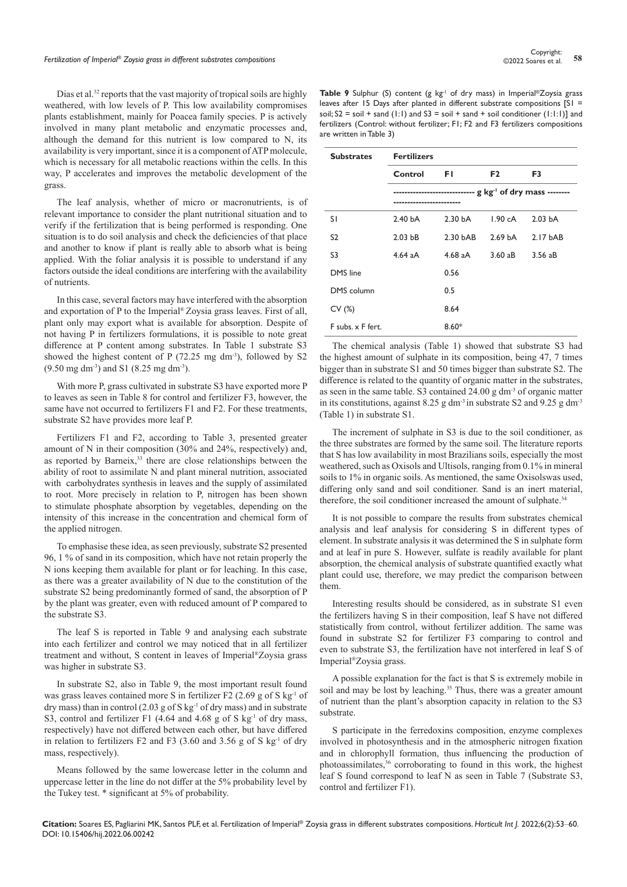# *Fertilization of Imperial® Zoysia grass in different substrates compositions* **<sup>58</sup>** Copyright:

Dias et al.<sup>32</sup> reports that the vast majority of tropical soils are highly weathered, with low levels of P. This low availability compromises plants establishment, mainly for Poacea family species. P is actively involved in many plant metabolic and enzymatic processes and, although the demand for this nutrient is low compared to N, its availability is very important, since it is a component of ATP molecule, which is necessary for all metabolic reactions within the cells. In this way, P accelerates and improves the metabolic development of the grass.

The leaf analysis, whether of micro or macronutrients, is of relevant importance to consider the plant nutritional situation and to verify if the fertilization that is being performed is responding. One situation is to do soil analysis and check the deficiencies of that place and another to know if plant is really able to absorb what is being applied. With the foliar analysis it is possible to understand if any factors outside the ideal conditions are interfering with the availability of nutrients.

In this case, several factors may have interfered with the absorption and exportation of P to the Imperial® Zoysia grass leaves. First of all, plant only may export what is available for absorption. Despite of not having P in fertilizers formulations, it is possible to note great difference at P content among substrates. In Table 1 substrate S3 showed the highest content of P  $(72.25 \text{ mg dm}^{-3})$ , followed by S2 (9.50 mg dm-3) and S1 (8.25 mg dm-3).

With more P, grass cultivated in substrate S3 have exported more P to leaves as seen in Table 8 for control and fertilizer F3, however, the same have not occurred to fertilizers F1 and F2. For these treatments, substrate S2 have provides more leaf P.

Fertilizers F1 and F2, according to Table 3, presented greater amount of N in their composition (30% and 24%, respectively) and, as reported by Barneix,<sup>33</sup> there are close relationships between the ability of root to assimilate N and plant mineral nutrition, associated with carbohydrates synthesis in leaves and the supply of assimilated to root. More precisely in relation to P, nitrogen has been shown to stimulate phosphate absorption by vegetables, depending on the intensity of this increase in the concentration and chemical form of the applied nitrogen.

To emphasise these idea, as seen previously, substrate S2 presented 96, 1 % of sand in its composition, which have not retain properly the N ions keeping them available for plant or for leaching. In this case, as there was a greater availability of N due to the constitution of the substrate S2 being predominantly formed of sand, the absorption of P by the plant was greater, even with reduced amount of P compared to the substrate S3.

The leaf S is reported in Table 9 and analysing each substrate into each fertilizer and control we may noticed that in all fertilizer treatment and without, S content in leaves of Imperial®Zoysia grass was higher in substrate S3.

In substrate S2, also in Table 9, the most important result found was grass leaves contained more S in fertilizer F2 (2.69 g of S kg-1 of dry mass) than in control (2.03 g of S kg<sup>-1</sup> of dry mass) and in substrate S3, control and fertilizer F1 (4.64 and 4.68 g of S kg<sup>-1</sup> of dry mass, respectively) have not differed between each other, but have differed in relation to fertilizers F2 and F3 (3.60 and 3.56 g of S  $kg<sup>-1</sup>$  of dry mass, respectively).

Means followed by the same lowercase letter in the column and uppercase letter in the line do not differ at the 5% probability level by the Tukey test. \* significant at 5% of probability.

Table 9 Sulphur (S) content (g kg<sup>-1</sup> of dry mass) in Imperial®Zoysia grass leaves after 15 Days after planted in different substrate compositions [S1 = soil;  $S2 = \text{soil} + \text{sand}$  (1:1) and  $S3 = \text{soil} + \text{sand} + \text{soil}$  conditioner (1:1:1)] and fertilizers (Control: without fertilizer; F1; F2 and F3 fertilizers compositions are written in Table 3)

| <b>Substrates</b> | <b>Fertilizers</b> |                                                                       |                    |                    |  |  |
|-------------------|--------------------|-----------------------------------------------------------------------|--------------------|--------------------|--|--|
|                   | Control            | FI.                                                                   | F <sub>2</sub>     | F3                 |  |  |
|                   |                    | ----------------------------- g kg <sup>-1</sup> of dry mass -------- |                    |                    |  |  |
| SΙ                | 2.40 <sub>bA</sub> | 2.30 <sub>bA</sub>                                                    | 1.90 cA            | 2.03 <sub>bA</sub> |  |  |
| S <sub>2</sub>    | 2.03 <sub>bB</sub> | 2.30 bAB                                                              | 2.69 <sub>bA</sub> | 2.17 bAB           |  |  |
| S3                | $4.64$ aA          | $4.68$ aA                                                             | $3.60$ aB          | 3.56aB             |  |  |
| DMS line          |                    | 0.56                                                                  |                    |                    |  |  |
| DMS column        |                    | 0.5                                                                   |                    |                    |  |  |
| CV(%)             |                    | 8.64                                                                  |                    |                    |  |  |
| F subs. x F fert. |                    | $8.60*$                                                               |                    |                    |  |  |

The chemical analysis (Table 1) showed that substrate S3 had the highest amount of sulphate in its composition, being 47, 7 times bigger than in substrate S1 and 50 times bigger than substrate S2. The difference is related to the quantity of organic matter in the substrates, as seen in the same table. S3 contained 24.00 g dm-3 of organic matter in its constitutions, against  $8.25$  g dm<sup>-3</sup> in substrate S2 and  $9.25$  g dm<sup>-3</sup> (Table 1) in substrate S1.

The increment of sulphate in S3 is due to the soil conditioner, as the three substrates are formed by the same soil. The literature reports that S has low availability in most Brazilians soils, especially the most weathered, such as Oxisols and Ultisols, ranging from 0.1% in mineral soils to 1% in organic soils. As mentioned, the same Oxisolswas used, differing only sand and soil conditioner. Sand is an inert material, therefore, the soil conditioner increased the amount of sulphate.<sup>34</sup>

It is not possible to compare the results from substrates chemical analysis and leaf analysis for considering S in different types of element. In substrate analysis it was determined the S in sulphate form and at leaf in pure S. However, sulfate is readily available for plant absorption, the chemical analysis of substrate quantified exactly what plant could use, therefore, we may predict the comparison between them.

Interesting results should be considered, as in substrate S1 even the fertilizers having S in their composition, leaf S have not differed statistically from control, without fertilizer addition. The same was found in substrate S2 for fertilizer F3 comparing to control and even to substrate S3, the fertilization have not interfered in leaf S of Imperial®Zoysia grass.

A possible explanation for the fact is that S is extremely mobile in soil and may be lost by leaching.<sup>35</sup> Thus, there was a greater amount of nutrient than the plant's absorption capacity in relation to the S3 substrate.

S participate in the ferredoxins composition, enzyme complexes involved in photosynthesis and in the atmospheric nitrogen fixation and in chlorophyll formation, thus influencing the production of photoassimilates,<sup>36</sup> corroborating to found in this work, the highest leaf S found correspond to leaf N as seen in Table 7 (Substrate S3, control and fertilizer F1).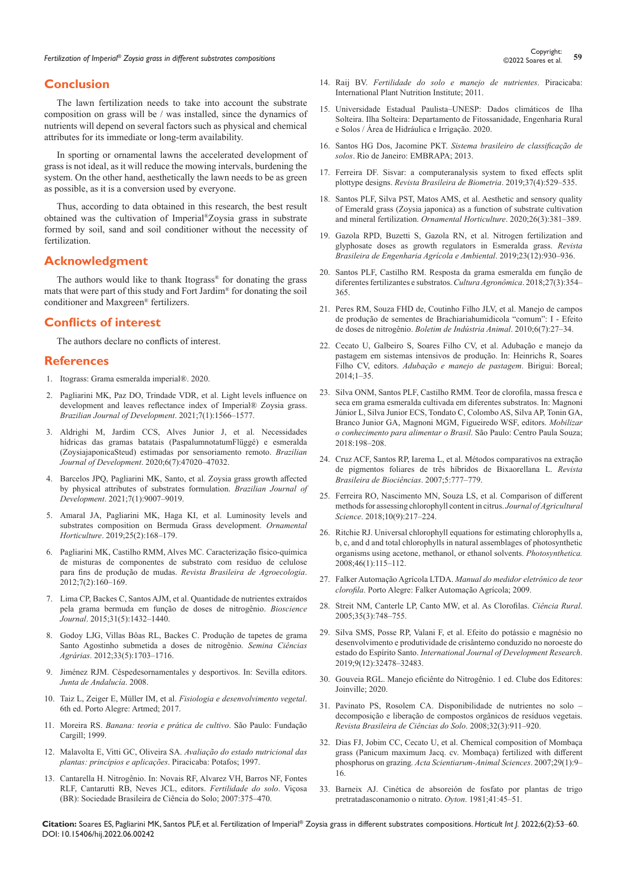## **Conclusion**

The lawn fertilization needs to take into account the substrate composition on grass will be / was installed, since the dynamics of nutrients will depend on several factors such as physical and chemical attributes for its immediate or long-term availability.

In sporting or ornamental lawns the accelerated development of grass is not ideal, as it will reduce the mowing intervals, burdening the system. On the other hand, aesthetically the lawn needs to be as green as possible, as it is a conversion used by everyone.

Thus, according to data obtained in this research, the best result obtained was the cultivation of Imperial®Zoysia grass in substrate formed by soil, sand and soil conditioner without the necessity of fertilization.

## **Acknowledgment**

The authors would like to thank Itograss<sup>®</sup> for donating the grass mats that were part of this study and Fort Jardim® for donating the soil conditioner and Maxgreen® fertilizers.

### **Conflicts of interest**

The authors declare no conflicts of interest.

#### **References**

- 1. [Itograss: Grama esmeralda imperial®. 2020.](https://itograss.com.br/grama-esmeralda-imperial/)
- 2. [Pagliarini MK, Paz DO, Trindade VDR, et al. Light levels influence on](https://www.brazilianjournals.com/index.php/BRJD/article/view/22688)  [development and leaves reflectance index of Imperial® Zoysia grass.](https://www.brazilianjournals.com/index.php/BRJD/article/view/22688)  *[Brazilian Journal of Development](https://www.brazilianjournals.com/index.php/BRJD/article/view/22688)*. 2021;7(1):1566–1577.
- 3. [Aldrighi M, Jardim CCS, Alves Junior J, et al. Necessidades](https://www.brazilianjournals.com/index.php/BRJD/article/view/13232/11123)  [hídricas das gramas batatais \(PaspalumnotatumFlüggé\) e esmeralda](https://www.brazilianjournals.com/index.php/BRJD/article/view/13232/11123)  [\(ZoysiajaponicaSteud\) estimadas por sensoriamento remoto.](https://www.brazilianjournals.com/index.php/BRJD/article/view/13232/11123) *Brazilian Journal of Development*[. 2020;6\(7\):47020–47032.](https://www.brazilianjournals.com/index.php/BRJD/article/view/13232/11123)
- 4. [Barcelos JPQ, Pagliarini MK, Santo, et al.](https://www.brazilianjournals.com/index.php/BRJD/article/view/23643) Zoysia grass growth affected [by physical attributes of substrates formulation.](https://www.brazilianjournals.com/index.php/BRJD/article/view/23643) *Brazilian Journal of Development*[. 2021;7\(1\):9007–9019.](https://www.brazilianjournals.com/index.php/BRJD/article/view/23643)
- 5. [Amaral JA, Pagliarini MK, Haga KI, et al. Luminosity levels and](https://ornamentalhorticulture.emnuvens.com.br/rbho/article/view/1454)  [substrates composition on Bermuda Grass development.](https://ornamentalhorticulture.emnuvens.com.br/rbho/article/view/1454) *Ornamental Horticulture*[. 2019;25\(2\):168–179.](https://ornamentalhorticulture.emnuvens.com.br/rbho/article/view/1454)
- 6. [Pagliarini MK, Castilho RMM, Alves MC. Caracterização físico-química](https://revistas.aba-agroecologia.org.br/index.php/rbagroecologia/article/view/9984)  [de misturas de componentes de substrato com resíduo de celulose](https://revistas.aba-agroecologia.org.br/index.php/rbagroecologia/article/view/9984)  para fins de produção de mudas. *[Revista Brasileira de Agroecologia](https://revistas.aba-agroecologia.org.br/index.php/rbagroecologia/article/view/9984)*.  $2012:7(2):160-169.$
- 7. [Lima CP, Backes C, Santos AJM, et al. Quantidade de nutrientes extraídos](https://seer.ufu.br/index.php/biosciencejournal/article/view/21967)  [pela grama bermuda em função de doses de nitrogênio.](https://seer.ufu.br/index.php/biosciencejournal/article/view/21967) *Bioscience Journal*[. 2015;31\(5\):1432–1440.](https://seer.ufu.br/index.php/biosciencejournal/article/view/21967)
- 8. [Godoy LJG, Villas Bôas RL, Backes C. Produção de tapetes de grama](https://www.uel.br/revistas/uel/index.php/semagrarias/article/view/7789/0)  [Santo Agostinho submetida a doses de nitrogênio.](https://www.uel.br/revistas/uel/index.php/semagrarias/article/view/7789/0) *Semina Ciências Agrárias*[. 2012;33\(5\):1703–1716.](https://www.uel.br/revistas/uel/index.php/semagrarias/article/view/7789/0)
- 9. [Jiménez RJM. Céspedesornamentales y desportivos. In: Sevilla editors.](https://www.agapea.com/libros/CESPEDES-ORNAMENTALES-Y-DEPORTIVOS-9788484742555-i.htm)  *[Junta de Andalucía](https://www.agapea.com/libros/CESPEDES-ORNAMENTALES-Y-DEPORTIVOS-9788484742555-i.htm)*. 2008.
- 10. Taiz L, Zeiger E, Müller IM, et al. *[Fisiologia e desenvolvimento vegetal](https://grupos.moodle.ufsc.br/pluginfile.php/474835/mod_resource/content/0/Fisiologia e desenvolvimento vegetal  Zair 6%C2%AAed.pdf)*. [6th ed. Porto Alegre: Artmed; 2017.](https://grupos.moodle.ufsc.br/pluginfile.php/474835/mod_resource/content/0/Fisiologia e desenvolvimento vegetal - Zair 6%C2%AAed.pdf)
- 11. Moreira RS. *Banana: teoria e prática de cultivo*. São Paulo: Fundação Cargill; 1999.
- 12. Malavolta E, Vitti GC, Oliveira SA. *[Avaliação do estado nutricional das](https://www.infraestruturameioambiente.sp.gov.br/institutodebotanica/1997/01/avaliacao-do-estado-nutricional-das-plantas-principios-e-aplicacoes/)  [plantas: princípios e aplicações](https://www.infraestruturameioambiente.sp.gov.br/institutodebotanica/1997/01/avaliacao-do-estado-nutricional-das-plantas-principios-e-aplicacoes/)*. Piracicaba: Potafos; 1997.
- 13. [Cantarella H. Nitrogênio. In: Novais RF, Alvarez VH, Barros NF, Fontes](https://brasilescola.uol.com.br/quimica/nitrogenio.htm)  [RLF, Cantarutti RB, Neves JCL, editors.](https://brasilescola.uol.com.br/quimica/nitrogenio.htm) *Fertilidade do solo*. [Viçosa](https://brasilescola.uol.com.br/quimica/nitrogenio.htm)  [\(BR\): Sociedade Brasileira de Ciência do Solo; 2007:375–470.](https://brasilescola.uol.com.br/quimica/nitrogenio.htm)
- 14. Raij BV. *[Fertilidade do solo e manejo de nutrientes](https://www.editoraufv.com.br/produto/fertilidade-do-solo-e-manejo-de-nutrientes/1112565)*. Piracicaba: [International Plant Nutrition Institute; 2011.](https://www.editoraufv.com.br/produto/fertilidade-do-solo-e-manejo-de-nutrientes/1112565)
- 15. Universidade Estadual Paulista–UNESP: Dados climáticos de Ilha Solteira. Ilha Solteira: Departamento de Fitossanidade, Engenharia Rural e Solos / Área de Hidráulica e Irrigação. 2020.
- 16. Santos HG Dos, Jacomine PKT. *[Sistema brasileiro de classificação de](https://www.embrapa.br/busca-de-publicacoes/-/publicacao/1094003/sistema-brasileiro-de-classificacao-de-solos)  solos*[. Rio de Janeiro: EMBRAPA; 2013.](https://www.embrapa.br/busca-de-publicacoes/-/publicacao/1094003/sistema-brasileiro-de-classificacao-de-solos)
- 17. [Ferreira DF. Sisvar: a computeranalysis system to fixed effects split](https://biometria.ufla.br/index.php/BBJ/article/view/450)  plottype designs. *[Revista Brasileira de Biometria](https://biometria.ufla.br/index.php/BBJ/article/view/450)*. 2019;37(4):529–535.
- 18. [Santos PLF, Silva PST, Matos AMS, et al. Aesthetic and sensory quality](https://repositorio.unesp.br/handle/11449/205610)  [of Emerald grass \(Zoysia japonica\) as a function of substrate cultivation](https://repositorio.unesp.br/handle/11449/205610)  [and mineral fertilization.](https://repositorio.unesp.br/handle/11449/205610) *Ornamental Horticulture*. 2020;26(3):381–389.
- 19. [Gazola RPD, Buzetti S, Gazola RN, et al.](https://web.s.ebscohost.com/abstract?direct=true&profile=ehost&scope=site&authtype=crawler&jrnl=18071929&AN=139460737&h=Jo%2bVMet9jLHpc0OY3mCVa0228wlmmuUOBQ4zxbDG80u5lbwcLi6MKuOygrzwatgQo8X8Cu1wtQmN0lt4jlWB8Q%3d%3d&crl=f&resultNs=AdminWebAuth&resultLocal=E) Nitrogen fertilization and [glyphosate doses as growth regulators in Esmeralda grass.](https://web.s.ebscohost.com/abstract?direct=true&profile=ehost&scope=site&authtype=crawler&jrnl=18071929&AN=139460737&h=Jo%2bVMet9jLHpc0OY3mCVa0228wlmmuUOBQ4zxbDG80u5lbwcLi6MKuOygrzwatgQo8X8Cu1wtQmN0lt4jlWB8Q%3d%3d&crl=f&resultNs=AdminWebAuth&resultLocal=E) *Revista [Brasileira de Engenharia Agrícola e Ambiental](https://web.s.ebscohost.com/abstract?direct=true&profile=ehost&scope=site&authtype=crawler&jrnl=18071929&AN=139460737&h=Jo%2bVMet9jLHpc0OY3mCVa0228wlmmuUOBQ4zxbDG80u5lbwcLi6MKuOygrzwatgQo8X8Cu1wtQmN0lt4jlWB8Q%3d%3d&crl=f&resultNs=AdminWebAuth&resultLocal=E)*. 2019;23(12):930–936.
- 20. [Santos PLF, Castilho RM. Resposta da grama esmeralda em função de](https://www.cabdirect.org/cabdirect/abstract/20203486844)  [diferentes fertilizantes e substratos.](https://www.cabdirect.org/cabdirect/abstract/20203486844) *Cultura Agronômica*. 2018;27(3):354– [365.](https://www.cabdirect.org/cabdirect/abstract/20203486844)
- 21. [Peres RM, Souza FHD de, Coutinho Filho JLV, et al. Manejo de campos](http://www.iz.sp.gov.br/bia/index.php/bia/article/view/1084)  [de produção de sementes de Brachiariahumidicola "comum": I - Efeito](http://www.iz.sp.gov.br/bia/index.php/bia/article/view/1084)  de doses de nitrogênio. *[Boletim de Indústria Animal](http://www.iz.sp.gov.br/bia/index.php/bia/article/view/1084)*. 2010;6(7):27–34.
- 22. [Cecato U, Galbeiro S, Soares Filho CV, et al. Adubação e manejo da](https://www.dracena.unesp.br/Home/Eventos/SAMPA/adubacao-e-manejo-de-pastagens-buscando-a-intenificacao-1.pdf)  [pastagem em sistemas intensivos de produção. In: Heinrichs R, Soares](https://www.dracena.unesp.br/Home/Eventos/SAMPA/adubacao-e-manejo-de-pastagens-buscando-a-intenificacao-1.pdf)  Filho CV, editors. *[Adubação e manejo de pastagem](https://www.dracena.unesp.br/Home/Eventos/SAMPA/adubacao-e-manejo-de-pastagens-buscando-a-intenificacao-1.pdf)*. Birigui: Boreal; [2014;1–35.](https://www.dracena.unesp.br/Home/Eventos/SAMPA/adubacao-e-manejo-de-pastagens-buscando-a-intenificacao-1.pdf)
- 23. [Silva ONM, Santos PLF, Castilho RMM. Teor de clorofila, massa fresca e](https://www.agbbauru.org.br/publicacoes/Mobilizar2018/pdf/21-Mobilizar.pdf)  [seca em grama esmeralda cultivada em diferentes substratos. In: Magnoni](https://www.agbbauru.org.br/publicacoes/Mobilizar2018/pdf/21-Mobilizar.pdf)  [Júnior L, Silva Junior ECS, Tondato C, Colombo AS, Silva AP, Tonin GA,](https://www.agbbauru.org.br/publicacoes/Mobilizar2018/pdf/21-Mobilizar.pdf)  [Branco Junior GA, Magnoni MGM, Figueiredo WSF, editors.](https://www.agbbauru.org.br/publicacoes/Mobilizar2018/pdf/21-Mobilizar.pdf) *Mobilizar [o conhecimento para alimentar o Brasil](https://www.agbbauru.org.br/publicacoes/Mobilizar2018/pdf/21-Mobilizar.pdf)*. São Paulo: Centro Paula Souza; [2018:198–208.](https://www.agbbauru.org.br/publicacoes/Mobilizar2018/pdf/21-Mobilizar.pdf)
- 24. [Cruz ACF, Santos RP, Iarema L, et al. Métodos comparativos na extração](https://redib.org/Record/oai_articulo1140991-m%C3%A9todos-comparativos-na-extra%C3%A7%C3%A3o-de-pigmentos-foliares-de-tr%C3%AAs-h%C3%ADbridos-de-bixa-orellana-l)  [de pigmentos foliares de três híbridos de Bixaorellana L.](https://redib.org/Record/oai_articulo1140991-m%C3%A9todos-comparativos-na-extra%C3%A7%C3%A3o-de-pigmentos-foliares-de-tr%C3%AAs-h%C3%ADbridos-de-bixa-orellana-l) *Revista [Brasileira de Biociências](https://redib.org/Record/oai_articulo1140991-m%C3%A9todos-comparativos-na-extra%C3%A7%C3%A3o-de-pigmentos-foliares-de-tr%C3%AAs-h%C3%ADbridos-de-bixa-orellana-l)*. 2007;5:777–779.
- 25. [Ferreira RO, Nascimento MN, Souza LS, et al. Comparison of different](http://www.ccsenet.org/journal/index.php/jas/article/download/75176/42690)  [methods for assessing chlorophyll content in citrus.](http://www.ccsenet.org/journal/index.php/jas/article/download/75176/42690) *Journal of Agricultural Science*[. 2018;10\(9\):217–224.](http://www.ccsenet.org/journal/index.php/jas/article/download/75176/42690)
- 26. [Ritchie RJ. Universal chlorophyll equations for estimating chlorophylls a,](https://ps.ueb.cas.cz/artkey/phs-200801-0019_universal-chlorophyll-equations-for-estimating-chlorophylls-a-b-c-and-d-and-total-chlorophylls-in-natural-as.php)  [b, c, and d and total chlorophylls in natural assemblages of photosynthetic](https://ps.ueb.cas.cz/artkey/phs-200801-0019_universal-chlorophyll-equations-for-estimating-chlorophylls-a-b-c-and-d-and-total-chlorophylls-in-natural-as.php)  [organisms using acetone, methanol, or ethanol solvents.](https://ps.ueb.cas.cz/artkey/phs-200801-0019_universal-chlorophyll-equations-for-estimating-chlorophylls-a-b-c-and-d-and-total-chlorophylls-in-natural-as.php) *Photosynthetica.* [2008;46\(1\):115–112.](https://ps.ueb.cas.cz/artkey/phs-200801-0019_universal-chlorophyll-equations-for-estimating-chlorophylls-a-b-c-and-d-and-total-chlorophylls-in-natural-as.php)
- 27. Falker Automação Agrícola LTDA. *[Manual do medidor eletrônico de teor](https://www.falker.com.br/produto-clorofilog-medidor-clorofila.php)  clorofila*[. Porto Alegre: Falker Automação Agrícola; 2009.](https://www.falker.com.br/produto-clorofilog-medidor-clorofila.php)
- 28. [Streit NM, Canterle LP, Canto MW, et al. As Clorofilas.](https://www.scielo.br/j/cr/a/dWwJymDzZRFwHhchRTpvbqK/abstract/?lang=en) *Ciência Rural*. [2005;35\(3\):748–755.](https://www.scielo.br/j/cr/a/dWwJymDzZRFwHhchRTpvbqK/abstract/?lang=en)
- 29. [Silva SMS, Posse RP, Valani F, et al. Efeito do potássio e magnésio no](https://www.journalijdr.com/efeito-do-pot%C3%A1ssio-e-magn%C3%A9sio-no-desenvolvimento-e-produtividade-de-cris%C3%A2ntemo-conduzido-no-noroeste)  [desenvolvimento e produtividade de crisântemo conduzido no noroeste do](https://www.journalijdr.com/efeito-do-pot%C3%A1ssio-e-magn%C3%A9sio-no-desenvolvimento-e-produtividade-de-cris%C3%A2ntemo-conduzido-no-noroeste)  estado do Espírito Santo. *[International Journal of Development Research](https://www.journalijdr.com/efeito-do-pot%C3%A1ssio-e-magn%C3%A9sio-no-desenvolvimento-e-produtividade-de-cris%C3%A2ntemo-conduzido-no-noroeste)*. [2019;9\(12\):32478–32483.](https://www.journalijdr.com/efeito-do-pot%C3%A1ssio-e-magn%C3%A9sio-no-desenvolvimento-e-produtividade-de-cris%C3%A2ntemo-conduzido-no-noroeste)
- 30. [Gouveia RGL. Manejo eficiênte do Nitrogênio. 1 ed. Clube dos Editores:](https://clubedeautores.com.br/livro/manejo-eficiente-do-nitrogenio)  [Joinville; 2020.](https://clubedeautores.com.br/livro/manejo-eficiente-do-nitrogenio)
- 31. [Pavinato PS, Rosolem CA. Disponibilidade de nutrientes no solo](https://www.redalyc.org/articulo.oa?id=180214229001)  [decomposição e liberação de compostos orgânicos de resíduos vegetais.](https://www.redalyc.org/articulo.oa?id=180214229001)  *[Revista Brasileira de Ciências do Solo](https://www.redalyc.org/articulo.oa?id=180214229001)*. 2008;32(3):911–920.
- 32. [Dias FJ, Jobim CC, Cecato U, et al. Chemical composition of Mombaça](https://pesquisa.bvsalud.org/portal/resource/pt/vti-762827)  [grass \(Panicum maximum Jacq. cv. Mombaça\) fertilized with different](https://pesquisa.bvsalud.org/portal/resource/pt/vti-762827)  phosphorus on grazing*[. Acta Scientiarum-Animal Sciences](https://pesquisa.bvsalud.org/portal/resource/pt/vti-762827)*. 2007;29(1):9– [16.](https://pesquisa.bvsalud.org/portal/resource/pt/vti-762827)
- 33. Barneix AJ. Cinética de absoreión de fosfato por plantas de trigo pretratadasconamonio o nitrato. *Oyton*. 1981;41:45–51.